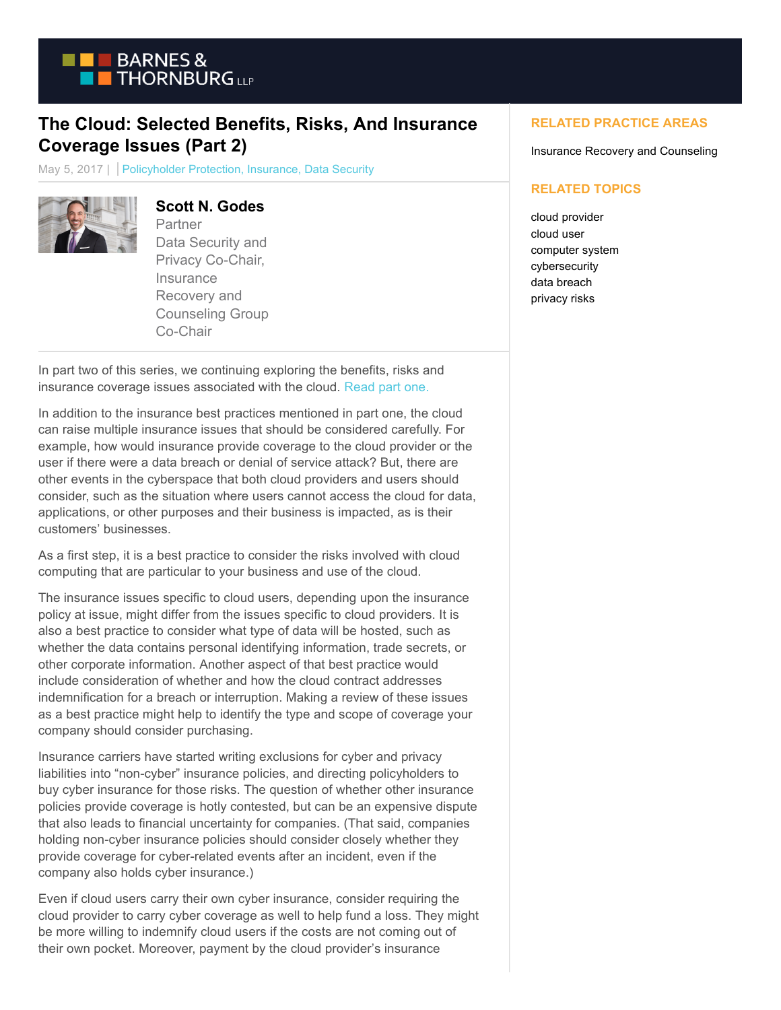

# **The Cloud: Selected Benefits, Risks, And Insurance Coverage Issues (Part 2)**

May 5, 2017 | Policyholder Protection, Insurance, Data Security



#### **Scott N. Godes**

Partner Data Security and Privacy Co-Chair, **Insurance** Recovery and Counseling Group Co-Chair

In part two of this series, we continuing exploring the benefits, risks and insurance coverage issues associated with the cloud. [Read part one.](https://btlaw.com/en/insights/blogs/policyholder-protection/2017/the-cloud-selected-benefits-risks-and-insurance-coverage-issues-part-1)

In addition to the insurance best practices mentioned in part one, the cloud can raise multiple insurance issues that should be considered carefully. For example, how would insurance provide coverage to the cloud provider or the user if there were a data breach or denial of service attack? But, there are other events in the cyberspace that both cloud providers and users should consider, such as the situation where users cannot access the cloud for data, applications, or other purposes and their business is impacted, as is their customers' businesses.

As a first step, it is a best practice to consider the risks involved with cloud computing that are particular to your business and use of the cloud.

The insurance issues specific to cloud users, depending upon the insurance policy at issue, might differ from the issues specific to cloud providers. It is also a best practice to consider what type of data will be hosted, such as whether the data contains personal identifying information, trade secrets, or other corporate information. Another aspect of that best practice would include consideration of whether and how the cloud contract addresses indemnification for a breach or interruption. Making a review of these issues as a best practice might help to identify the type and scope of coverage your company should consider purchasing.

Insurance carriers have started writing exclusions for cyber and privacy liabilities into "non-cyber" insurance policies, and directing policyholders to buy cyber insurance for those risks. The question of whether other insurance policies provide coverage is hotly contested, but can be an expensive dispute that also leads to financial uncertainty for companies. (That said, companies holding non-cyber insurance policies should consider closely whether they provide coverage for cyber-related events after an incident, even if the company also holds cyber insurance.)

Even if cloud users carry their own cyber insurance, consider requiring the cloud provider to carry cyber coverage as well to help fund a loss. They might be more willing to indemnify cloud users if the costs are not coming out of their own pocket. Moreover, payment by the cloud provider's insurance

#### **RELATED PRACTICE AREAS**

Insurance Recovery and Counseling

#### **RELATED TOPICS**

cloud provider cloud user computer system cybersecurity data breach privacy risks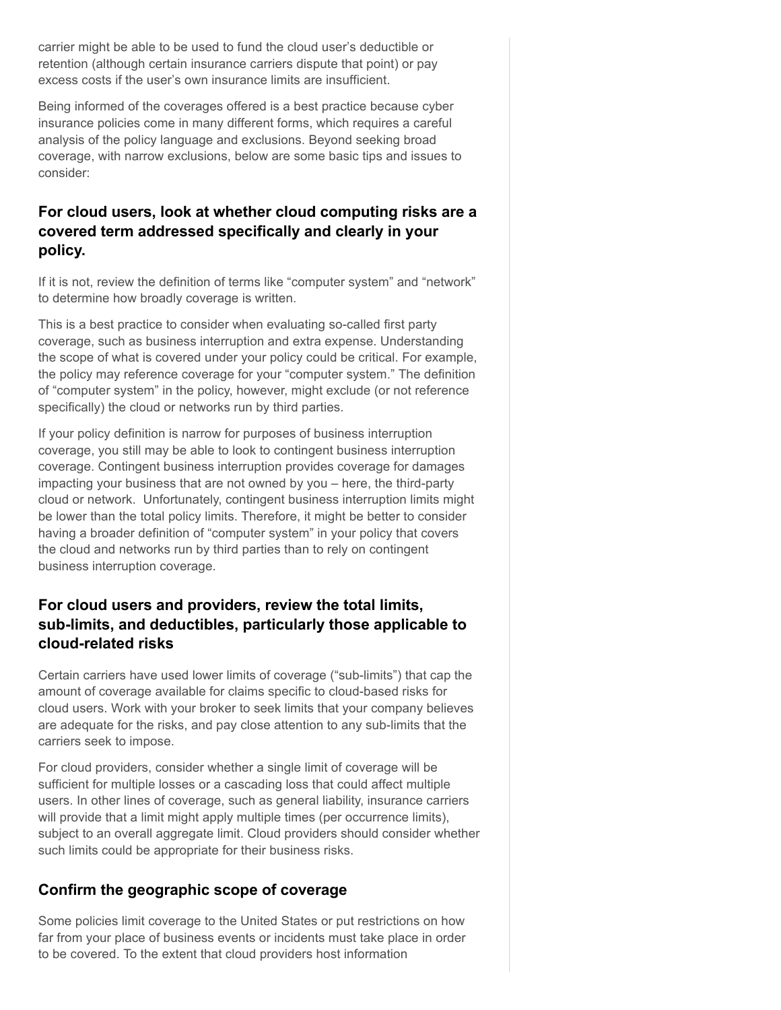carrier might be able to be used to fund the cloud user's deductible or retention (although certain insurance carriers dispute that point) or pay excess costs if the user's own insurance limits are insufficient.

Being informed of the coverages offered is a best practice because cyber insurance policies come in many different forms, which requires a careful analysis of the policy language and exclusions. Beyond seeking broad coverage, with narrow exclusions, below are some basic tips and issues to consider:

## **For cloud users, look at whether cloud computing risks are a covered term addressed specifically and clearly in your policy.**

If it is not, review the definition of terms like "computer system" and "network" to determine how broadly coverage is written.

This is a best practice to consider when evaluating so-called first party coverage, such as business interruption and extra expense. Understanding the scope of what is covered under your policy could be critical. For example, the policy may reference coverage for your "computer system." The definition of "computer system" in the policy, however, might exclude (or not reference specifically) the cloud or networks run by third parties.

If your policy definition is narrow for purposes of business interruption coverage, you still may be able to look to contingent business interruption coverage. Contingent business interruption provides coverage for damages impacting your business that are not owned by you – here, the third-party cloud or network. Unfortunately, contingent business interruption limits might be lower than the total policy limits. Therefore, it might be better to consider having a broader definition of "computer system" in your policy that covers the cloud and networks run by third parties than to rely on contingent business interruption coverage.

#### **For cloud users and providers, review the total limits, sub-limits, and deductibles, particularly those applicable to cloud-related risks**

Certain carriers have used lower limits of coverage ("sub-limits") that cap the amount of coverage available for claims specific to cloud-based risks for cloud users. Work with your broker to seek limits that your company believes are adequate for the risks, and pay close attention to any sub-limits that the carriers seek to impose.

For cloud providers, consider whether a single limit of coverage will be sufficient for multiple losses or a cascading loss that could affect multiple users. In other lines of coverage, such as general liability, insurance carriers will provide that a limit might apply multiple times (per occurrence limits), subject to an overall aggregate limit. Cloud providers should consider whether such limits could be appropriate for their business risks.

## **Confirm the geographic scope of coverage**

Some policies limit coverage to the United States or put restrictions on how far from your place of business events or incidents must take place in order to be covered. To the extent that cloud providers host information